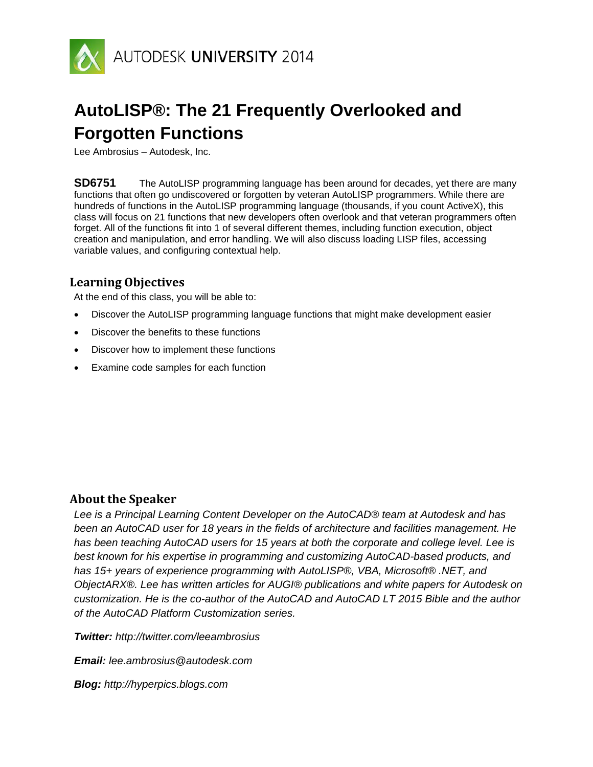

# **AutoLISP®: The 21 Frequently Overlooked and Forgotten Functions**

Lee Ambrosius – Autodesk, Inc.

**SD6751** The AutoLISP programming language has been around for decades, yet there are many functions that often go undiscovered or forgotten by veteran AutoLISP programmers. While there are hundreds of functions in the AutoLISP programming language (thousands, if you count ActiveX), this class will focus on 21 functions that new developers often overlook and that veteran programmers often forget. All of the functions fit into 1 of several different themes, including function execution, object creation and manipulation, and error handling. We will also discuss loading LISP files, accessing variable values, and configuring contextual help.

## **Learning Objectives**

At the end of this class, you will be able to:

- Discover the AutoLISP programming language functions that might make development easier
- Discover the benefits to these functions
- Discover how to implement these functions
- Examine code samples for each function

## **About the Speaker**

*Lee is a Principal Learning Content Developer on the AutoCAD® team at Autodesk and has been an AutoCAD user for 18 years in the fields of architecture and facilities management. He has been teaching AutoCAD users for 15 years at both the corporate and college level. Lee is best known for his expertise in programming and customizing AutoCAD-based products, and has 15+ years of experience programming with AutoLISP®, VBA, Microsoft® .NET, and ObjectARX®. Lee has written articles for AUGI® publications and white papers for Autodesk on customization. He is the co-author of the AutoCAD and AutoCAD LT 2015 Bible and the author of the AutoCAD Platform Customization series.*

*Twitter: http://twitter.com/leeambrosius*

*Email: lee.ambrosius@autodesk.com*

*Blog: http://hyperpics.blogs.com*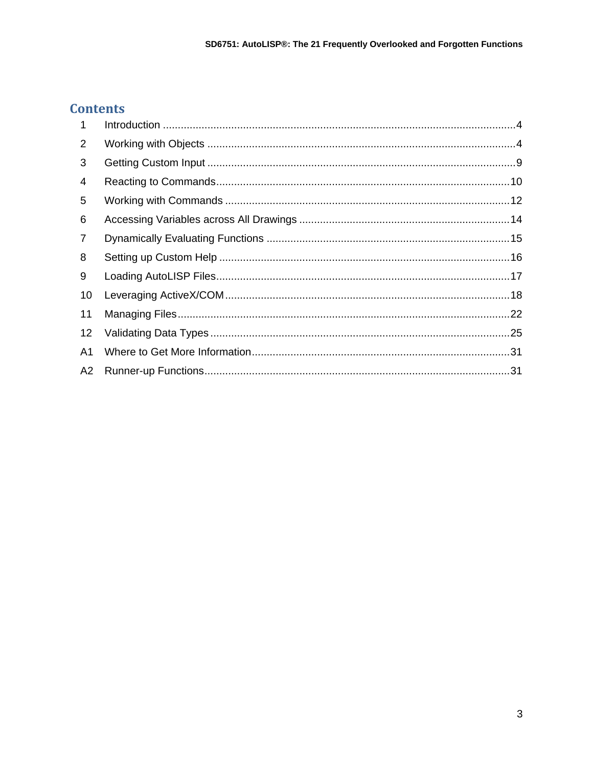# **Contents**

| $\mathbf 1$    |  |
|----------------|--|
| 2              |  |
| 3              |  |
| 4              |  |
| 5              |  |
| 6              |  |
| 7              |  |
| 8              |  |
| 9              |  |
| 10             |  |
| 11             |  |
| 12             |  |
| A <sub>1</sub> |  |
| A <sub>2</sub> |  |
|                |  |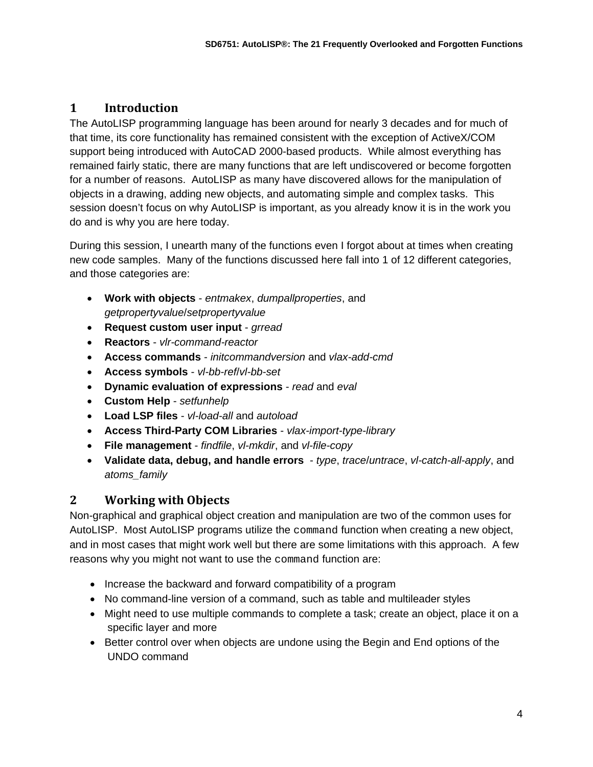# **1 Introduction**

The AutoLISP programming language has been around for nearly 3 decades and for much of that time, its core functionality has remained consistent with the exception of ActiveX/COM support being introduced with AutoCAD 2000-based products. While almost everything has remained fairly static, there are many functions that are left undiscovered or become forgotten for a number of reasons. AutoLISP as many have discovered allows for the manipulation of objects in a drawing, adding new objects, and automating simple and complex tasks. This session doesn't focus on why AutoLISP is important, as you already know it is in the work you do and is why you are here today.

During this session, I unearth many of the functions even I forgot about at times when creating new code samples. Many of the functions discussed here fall into 1 of 12 different categories, and those categories are:

- **Work with objects** *entmakex*, *dumpallproperties*, and *getpropertyvalue*/*setpropertyvalue*
- **Request custom user input** *grread*
- **Reactors** *vlr-command-reactor*
- **Access commands** *initcommandversion* and *vlax-add-cmd*
- **Access symbols**  *vl-bb-ref*/*vl-bb-set*
- **Dynamic evaluation of expressions** *read* and *eval*
- **Custom Help** *setfunhelp*
- **Load LSP files** *vl-load-all* and *autoload*
- **Access Third-Party COM Libraries** *vlax-import-type-library*
- **File management** *findfile*, *vl-mkdir*, and *vl-file-copy*
- **Validate data, debug, and handle errors**  *type*, *trace*/*untrace*, *vl-catch-all-apply*, and *atoms\_family*

## **2 Working with Objects**

Non-graphical and graphical object creation and manipulation are two of the common uses for AutoLISP. Most AutoLISP programs utilize the command function when creating a new object, and in most cases that might work well but there are some limitations with this approach. A few reasons why you might not want to use the command function are:

- Increase the backward and forward compatibility of a program
- No command-line version of a command, such as table and multileader styles
- Might need to use multiple commands to complete a task; create an object, place it on a specific layer and more
- Better control over when objects are undone using the Begin and End options of the UNDO command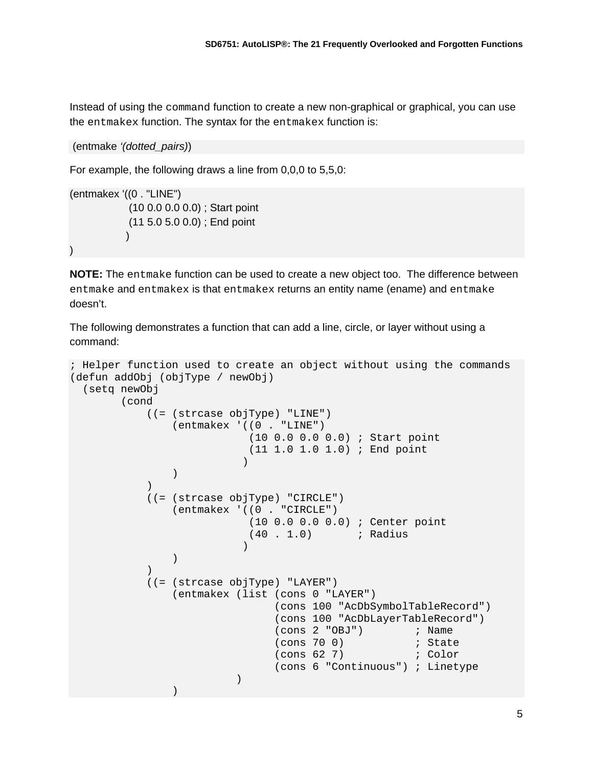Instead of using the command function to create a new non-graphical or graphical, you can use the entmakex function. The syntax for the entmakex function is:

```
(entmake '(dotted_pairs))
```
For example, the following draws a line from 0,0,0 to 5,5,0:

```
(entmakex '((0 . "LINE")
               (10 0.0 0.0 0.0) ; Start point
               (11 5.0 5.0 0.0) ; End point
\overline{\phantom{a}})
```
**NOTE:** The entmake function can be used to create a new object too. The difference between entmake and entmakex is that entmakex returns an entity name (ename) and entmake doesn't.

The following demonstrates a function that can add a line, circle, or layer without using a command:

```
; Helper function used to create an object without using the commands
(defun addObj (objType / newObj)
    (setq newObj
              (cond
                     ((= (strcase objType) "LINE")
                            (entmakex '((0 . "LINE")
                                                (10 0.0 0.0 0.0) ; Start point
                                               (11 1.0 1.0 1.0) ; End point
е производство в селото на селото на селото на селото на селото на селото на селото на селото на селото на сел<br>Селото на селото на селото на селото на селото на селото на селото на селото на селото на селото на селото на
\overline{\phantom{a}}\overline{\phantom{a}} ((= (strcase objType) "CIRCLE")
                           (entmakex '((0 . "CIRCLE")
                                               (10 0.0 0.0 0.0) ; Center point
                                             (40 \t1.0) ; Radius
е производство в селото на селото на селото на селото на селото на селото на селото на селото на селото на сел<br>Селото на селото на селото на селото на селото на селото на селото на селото на селото на селото на селото на
\overline{\phantom{a}}\overline{\phantom{a}} ((= (strcase objType) "LAYER")
                           (entmakex (list (cons 0 "LAYER")
                                                      (cons 100 "AcDbSymbolTableRecord")
                                                      (cons 100 "AcDbLayerTableRecord")
                                                     (\text{cons } 2 \text{ "OBJ"}) ; Name<br>(\text{cons } 70 \text{ 0}) ; State
                                                     (cons 70 0) <br>(cons 62 7) ( Color
                                                      (cons 62 7)(cons 6 "Continuous") ; Linetype
) and the contract of \mathcal{L}) and the contract of \mathcal{L}
```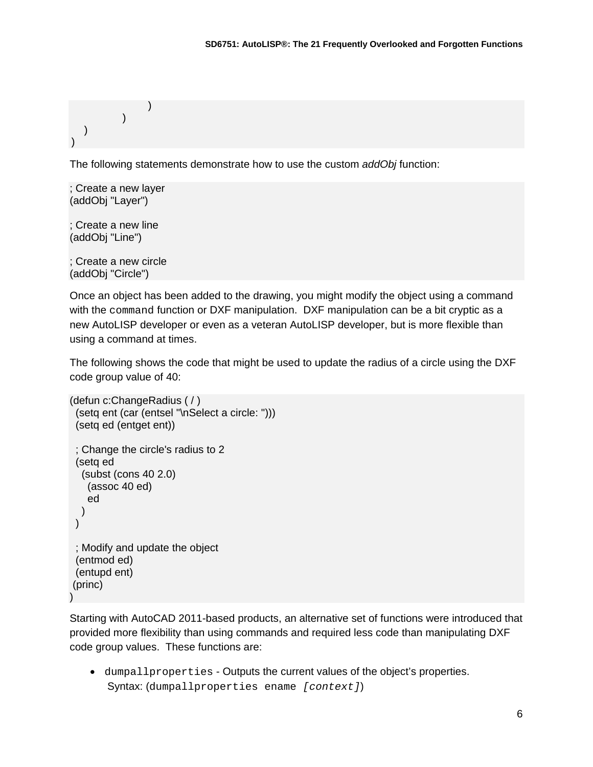```
\overline{\phantom{a}}\overline{\phantom{a}} )
)
```
The following statements demonstrate how to use the custom *addObj* function:

; Create a new layer (addObj "Layer")

; Create a new line (addObj "Line")

; Create a new circle (addObj "Circle")

Once an object has been added to the drawing, you might modify the object using a command with the command function or DXF manipulation. DXF manipulation can be a bit cryptic as a new AutoLISP developer or even as a veteran AutoLISP developer, but is more flexible than using a command at times.

The following shows the code that might be used to update the radius of a circle using the DXF code group value of 40:

```
(defun c:ChangeRadius ( / )
  (setq ent (car (entsel "\nSelect a circle: ")))
  (setq ed (entget ent))
  ; Change the circle's radius to 2
  (setq ed 
   (subst (cons 40 2.0)
     (assoc 40 ed)
     ed
   ) 
  )
  ; Modify and update the object
  (entmod ed)
  (entupd ent)
(princ)
)
```
Starting with AutoCAD 2011-based products, an alternative set of functions were introduced that provided more flexibility than using commands and required less code than manipulating DXF code group values. These functions are:

• dumpallproperties - Outputs the current values of the object's properties. Syntax: (dumpallproperties ename *[context]*)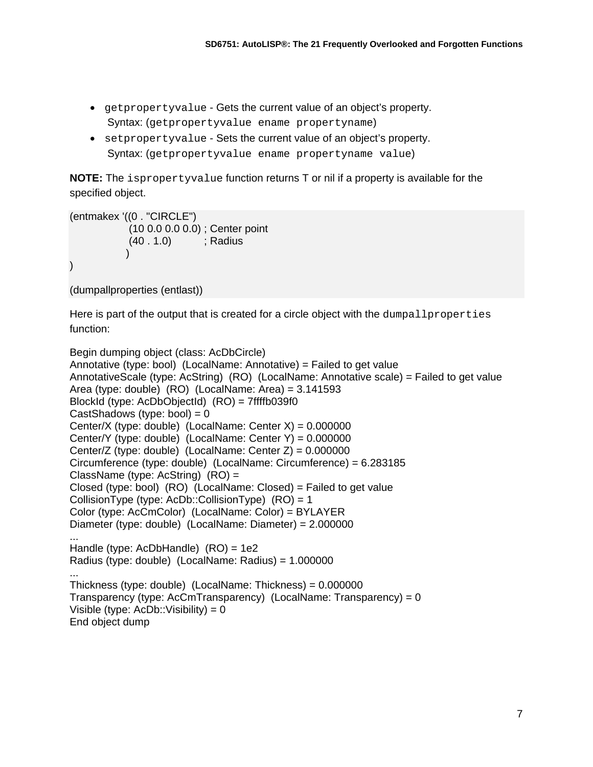- getpropertyvalue Gets the current value of an object's property. Syntax: (getpropertyvalue ename propertyname)
- setpropertyvalue Sets the current value of an object's property. Syntax: (getpropertyvalue ename propertyname value)

**NOTE:** The ispropertyvalue function returns T or nil if a property is available for the specified object.

```
(entmakex '((0 . "CIRCLE")
              (10 0.0 0.0 0.0) ; Center point
              (40 . 1.0) ; Radius
\overline{\phantom{a}})
```
(dumpallproperties (entlast))

Here is part of the output that is created for a circle object with the dumpallproperties function:

```
Begin dumping object (class: AcDbCircle)
Annotative (type: bool) (LocalName: Annotative) = Failed to get value
AnnotativeScale (type: AcString) (RO) (LocalName: Annotative scale) = Failed to get value
Area (type: double) (RO) (LocalName: Area) = 3.141593
BlockId (type: AcDbObjectId) (RO) = 7ffffb039f0
CastShadows (type: bool) = 0Center/X (type: double) (LocalName: Center X) = 0.000000Center/Y (type: double) (LocalName: Center Y) = 0.000000
Center/Z (type: double) (LocalName: Center Z) = 0.000000
Circumference (type: double) (LocalName: Circumference) = 6.283185
ClassName (type: AcString) (RO) =
Closed (type: bool) (RO) (LocalName: Closed) = Failed to get value
CollisionType (type: AcDb::CollisionType) (RO) = 1
Color (type: AcCmColor) (LocalName: Color) = BYLAYER
Diameter (type: double) (LocalName: Diameter) = 2.000000
...
Handle (type: AcDbHandle) (RO) = 1e2
Radius (type: double) (LocalName: Radius) = 1.000000
...
Thickness (type: double) (LocalName: Thickness) = 0.000000
Transparency (type: AcCmTransparency) (LocalName: Transparency) = 0
Visible (type: AcDb::Visibility) = 0
End object dump
```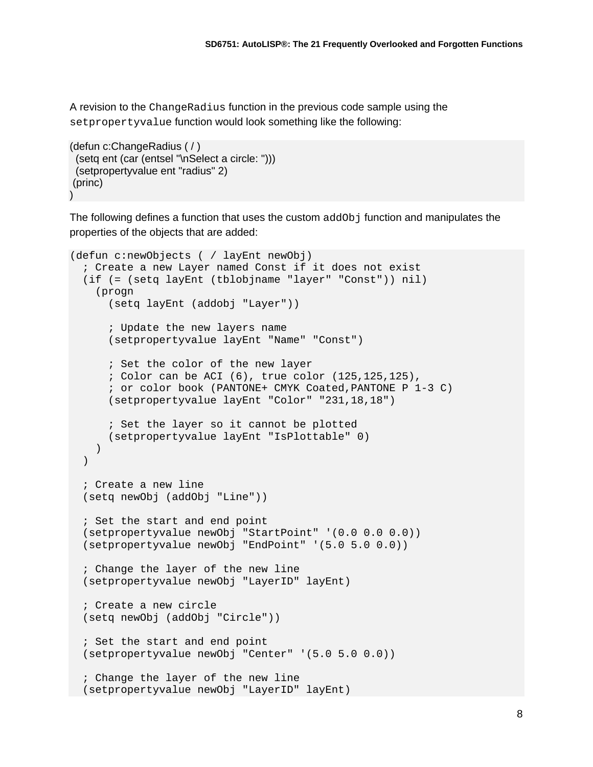A revision to the ChangeRadius function in the previous code sample using the setpropertyvalue function would look something like the following:

```
(defun c:ChangeRadius ( / )
  (setq ent (car (entsel "\nSelect a circle: ")))
  (setpropertyvalue ent "radius" 2)
(princ)
\lambda
```
The following defines a function that uses the custom addOb j function and manipulates the properties of the objects that are added:

```
(defun c:newObjects ( / layEnt newObj)
   ; Create a new Layer named Const if it does not exist
   (if (= (setq layEnt (tblobjname "layer" "Const")) nil)
     (progn
       (setq layEnt (addobj "Layer"))
       ; Update the new layers name
       (setpropertyvalue layEnt "Name" "Const")
       ; Set the color of the new layer
       ; Color can be ACI (6), true color (125,125,125),
       ; or color book (PANTONE+ CMYK Coated,PANTONE P 1-3 C)
       (setpropertyvalue layEnt "Color" "231,18,18")
       ; Set the layer so it cannot be plotted
       (setpropertyvalue layEnt "IsPlottable" 0)
     )
   )
   ; Create a new line
   (setq newObj (addObj "Line"))
   ; Set the start and end point
   (setpropertyvalue newObj "StartPoint" '(0.0 0.0 0.0))
   (setpropertyvalue newObj "EndPoint" '(5.0 5.0 0.0))
   ; Change the layer of the new line
   (setpropertyvalue newObj "LayerID" layEnt)
   ; Create a new circle
   (setq newObj (addObj "Circle"))
   ; Set the start and end point
   (setpropertyvalue newObj "Center" '(5.0 5.0 0.0))
   ; Change the layer of the new line
   (setpropertyvalue newObj "LayerID" layEnt)
```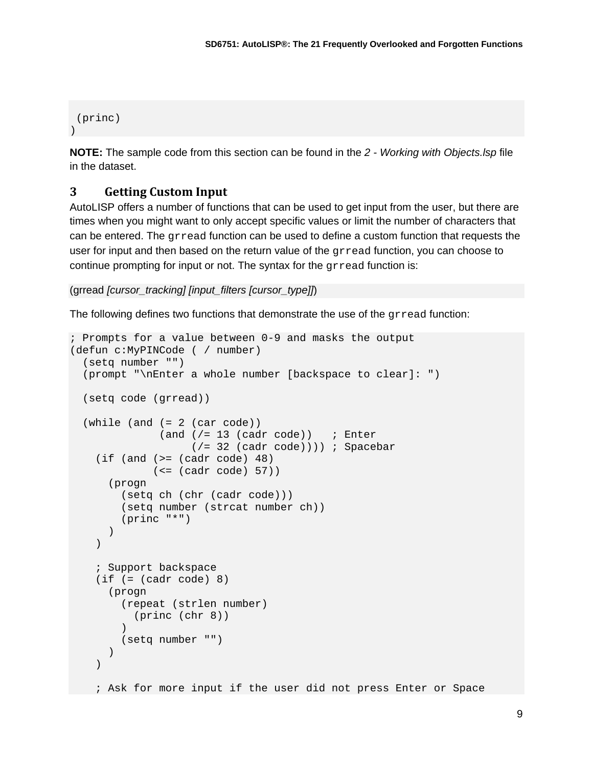```
(princ)
\left( \right)
```
**NOTE:** The sample code from this section can be found in the *2 - Working with Objects.lsp* file in the dataset.

## **3 Getting Custom Input**

AutoLISP offers a number of functions that can be used to get input from the user, but there are times when you might want to only accept specific values or limit the number of characters that can be entered. The grread function can be used to define a custom function that requests the user for input and then based on the return value of the gread function, you can choose to continue prompting for input or not. The syntax for the grread function is:

```
(grread [cursor_tracking] [input_filters [cursor_type]])
```
The following defines two functions that demonstrate the use of the grread function:

```
; Prompts for a value between 0-9 and masks the output
(defun c:MyPINCode ( / number)
   (setq number "")
   (prompt "\nEnter a whole number [backspace to clear]: ")
   (setq code (grread))
  (\text{while } (\text{and } (= 2 \text{ (car code)}))(and \left(\frac{1}{2} \ 13 \ (cadr code)\right) ; Enter
                        (/= 32 (cadr code)))) ; Spacebar
    (if (and (>= (cadr code) 48)
                (<= (cadr code) 57))
        (progn
          (setq ch (chr (cadr code)))
          (setq number (strcat number ch))
          (princ "*")
       \left( \right) )
     ; Support backspace
    (if (= (cadr code) 8) (progn
          (repeat (strlen number)
         (p^{\text{rinc}} (\text{chr} 8))\overline{\phantom{a}} (setq number "")
\overline{\phantom{a}} )
     ; Ask for more input if the user did not press Enter or Space
```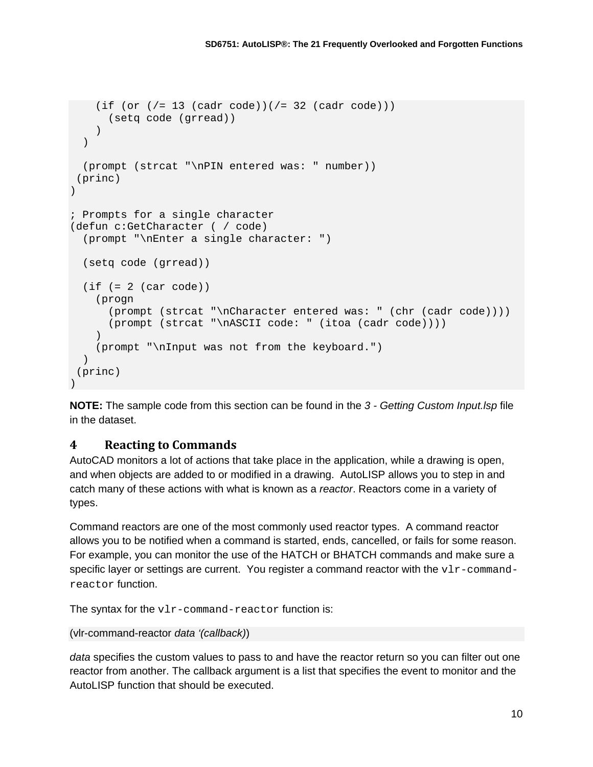```
(if (or \frac{1}{5} (cadr code))(\frac{1}{5} 32 (cadr code)))
       (setq code (grread))
     )
   )
   (prompt (strcat "\nPIN entered was: " number))
(princ)
)
; Prompts for a single character
(defun c:GetCharacter ( / code)
   (prompt "\nEnter a single character: ")
  (setq code (grread))
  (if (= 2 (car code)) (progn
       (prompt (strcat "\nCharacter entered was: " (chr (cadr code))))
       (prompt (strcat "\nASCII code: " (itoa (cadr code))))
     )
     (prompt "\nInput was not from the keyboard.")
  )
(princ)
)
```
**NOTE:** The sample code from this section can be found in the *3 - Getting Custom Input.lsp* file in the dataset.

## **4 Reacting to Commands**

AutoCAD monitors a lot of actions that take place in the application, while a drawing is open, and when objects are added to or modified in a drawing. AutoLISP allows you to step in and catch many of these actions with what is known as a *reactor*. Reactors come in a variety of types.

Command reactors are one of the most commonly used reactor types. A command reactor allows you to be notified when a command is started, ends, cancelled, or fails for some reason. For example, you can monitor the use of the HATCH or BHATCH commands and make sure a specific layer or settings are current. You register a command reactor with the  $v1r$ -commandreactor function.

The syntax for the vlr-command-reactor function is:

#### (vlr-command-reactor *data '(callback)*)

*data* specifies the custom values to pass to and have the reactor return so you can filter out one reactor from another. The callback argument is a list that specifies the event to monitor and the AutoLISP function that should be executed.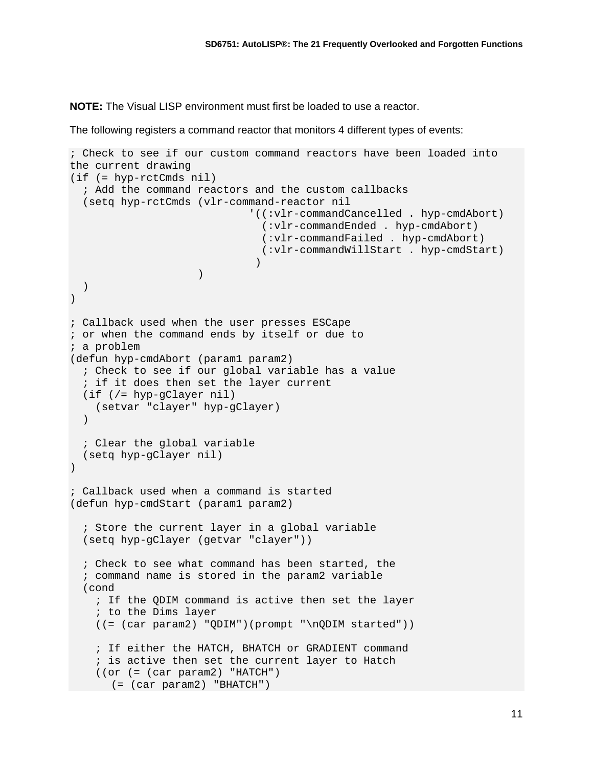**NOTE:** The Visual LISP environment must first be loaded to use a reactor.

The following registers a command reactor that monitors 4 different types of events:

```
; Check to see if our custom command reactors have been loaded into 
the current drawing
(if (= hyp-rctCmds nil)
   ; Add the command reactors and the custom callbacks
   (setq hyp-rctCmds (vlr-command-reactor nil
                               '((:vlr-commandCancelled . hyp-cmdAbort)
                                (:vlr-commandEnded . hyp-cmdAbort)
                                (:vlr-commandFailed . hyp-cmdAbort)
                                (:vlr-commandWillStart . hyp-cmdStart)
 )
) and the contract of \mathcal{L} ( \mathcal{L} ) and \mathcal{L} )
)
; Callback used when the user presses ESCape
; or when the command ends by itself or due to
; a problem
(defun hyp-cmdAbort (param1 param2)
   ; Check to see if our global variable has a value
   ; if it does then set the layer current
   (if (/= hyp-gClayer nil)
     (setvar "clayer" hyp-gClayer)
   )
   ; Clear the global variable
   (setq hyp-gClayer nil)
\lambda; Callback used when a command is started
(defun hyp-cmdStart (param1 param2)
   ; Store the current layer in a global variable
   (setq hyp-gClayer (getvar "clayer"))
   ; Check to see what command has been started, the
   ; command name is stored in the param2 variable
   (cond
     ; If the QDIM command is active then set the layer
     ; to the Dims layer
     ((= (car param2) "QDIM")(prompt "\nQDIM started"))
     ; If either the HATCH, BHATCH or GRADIENT command
     ; is active then set the current layer to Hatch
     ((or (= (car param2) "HATCH")
   (= (car param2) "BHATCH")
```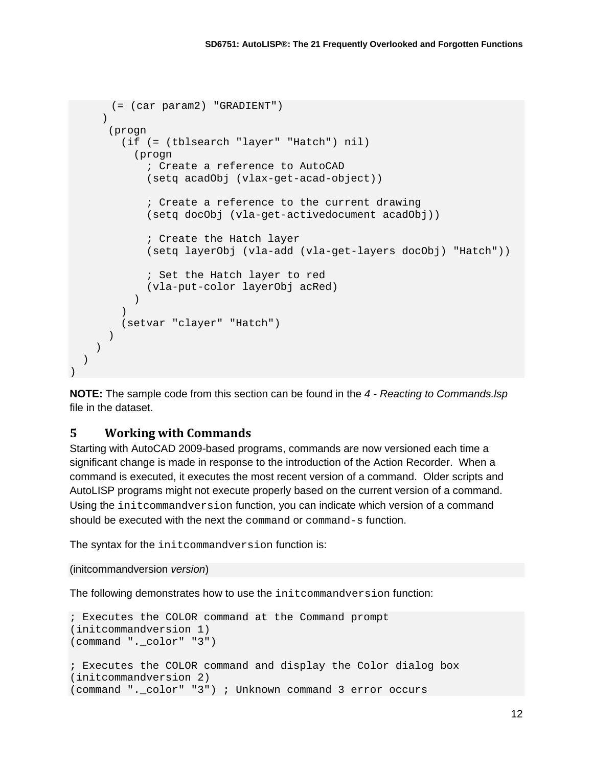```
(= (car param2) "GRADIENT")
\overline{\phantom{a}} (progn
          (if (= (tblsearch "layer" "Hatch") nil)
            (progn
               ; Create a reference to AutoCAD
               (setq acadObj (vlax-get-acad-object))
               ; Create a reference to the current drawing
               (setq docObj (vla-get-activedocument acadObj))
               ; Create the Hatch layer
               (setq layerObj (vla-add (vla-get-layers docObj) "Hatch"))
               ; Set the Hatch layer to red
            (vla-put-color layerObj acRed)
\overline{\phantom{a}}\overline{\phantom{a}} (setvar "clayer" "Hatch")
\overline{\phantom{a}} )
   )
```
**NOTE:** The sample code from this section can be found in the *4 - Reacting to Commands.lsp* file in the dataset.

#### **5 Working with Commands**

)

Starting with AutoCAD 2009-based programs, commands are now versioned each time a significant change is made in response to the introduction of the Action Recorder. When a command is executed, it executes the most recent version of a command. Older scripts and AutoLISP programs might not execute properly based on the current version of a command. Using the initcommandversion function, you can indicate which version of a command should be executed with the next the command or command-s function.

The syntax for the initcommandversion function is:

```
(initcommandversion version)
```
The following demonstrates how to use the initcommandversion function:

```
; Executes the COLOR command at the Command prompt
(initcommandversion 1)
(command "._color" "3")
; Executes the COLOR command and display the Color dialog box
(initcommandversion 2)
(command "._color" "3") ; Unknown command 3 error occurs
```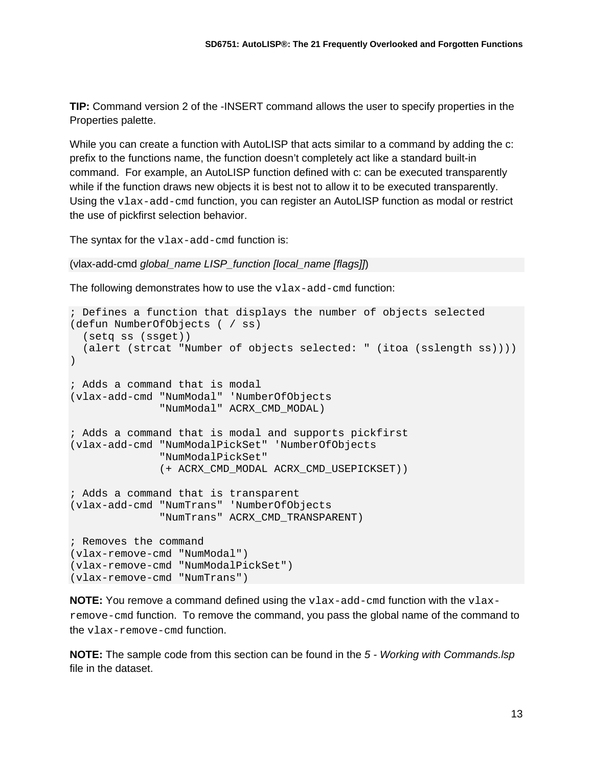**TIP:** Command version 2 of the -INSERT command allows the user to specify properties in the Properties palette.

While you can create a function with AutoLISP that acts similar to a command by adding the c: prefix to the functions name, the function doesn't completely act like a standard built-in command. For example, an AutoLISP function defined with c: can be executed transparently while if the function draws new objects it is best not to allow it to be executed transparently. Using the  $v$ lax-add-cmd function, you can register an AutoLISP function as modal or restrict the use of pickfirst selection behavior.

The syntax for the vlax-add-cmd function is:

```
(vlax-add-cmd global_name LISP_function [local_name [flags]])
```
The following demonstrates how to use the  $v$ lax-add-cmd function:

```
; Defines a function that displays the number of objects selected
(defun NumberOfObjects ( / ss)
  (setq ss (ssget))
  (alert (strcat "Number of objects selected: " (itoa (sslength ss))))
)
; Adds a command that is modal
(vlax-add-cmd "NumModal" 'NumberOfObjects
               "NumModal" ACRX_CMD_MODAL)
; Adds a command that is modal and supports pickfirst
(vlax-add-cmd "NumModalPickSet" 'NumberOfObjects
               "NumModalPickSet" 
               (+ ACRX_CMD_MODAL ACRX_CMD_USEPICKSET))
; Adds a command that is transparent
(vlax-add-cmd "NumTrans" 'NumberOfObjects
               "NumTrans" ACRX_CMD_TRANSPARENT)
; Removes the command
(vlax-remove-cmd "NumModal")
(vlax-remove-cmd "NumModalPickSet")
(vlax-remove-cmd "NumTrans")
```
**NOTE:** You remove a command defined using the vlax-add-cmd function with the vlaxremove-cmd function. To remove the command, you pass the global name of the command to the vlax-remove-cmd function.

**NOTE:** The sample code from this section can be found in the *5 - Working with Commands.lsp* file in the dataset.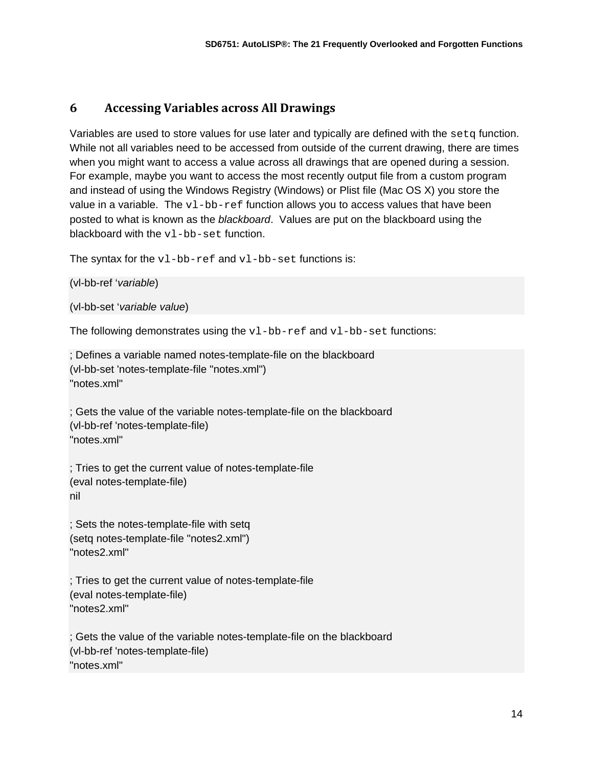## **6 Accessing Variables across All Drawings**

Variables are used to store values for use later and typically are defined with the  $\text{setq}$  function. While not all variables need to be accessed from outside of the current drawing, there are times when you might want to access a value across all drawings that are opened during a session. For example, maybe you want to access the most recently output file from a custom program and instead of using the Windows Registry (Windows) or Plist file (Mac OS X) you store the value in a variable. The  $v1-bb-ref$  function allows you to access values that have been posted to what is known as the *blackboard*. Values are put on the blackboard using the blackboard with the vl-bb-set function.

The syntax for the  $v1-bb-ref$  and  $v1-bb-set$  functions is:

```
(vl-bb-ref 'variable)
```

```
(vl-bb-set 'variable value)
```
The following demonstrates using the  $v1-bb-ref$  and  $v1-bb-set$  functions:

; Defines a variable named notes-template-file on the blackboard (vl-bb-set 'notes-template-file "notes.xml") "notes.xml"

; Gets the value of the variable notes-template-file on the blackboard (vl-bb-ref 'notes-template-file) "notes.xml"

; Tries to get the current value of notes-template-file (eval notes-template-file) nil

; Sets the notes-template-file with setq (setq notes-template-file "notes2.xml") "notes2.xml"

; Tries to get the current value of notes-template-file (eval notes-template-file) "notes2.xml"

; Gets the value of the variable notes-template-file on the blackboard (vl-bb-ref 'notes-template-file) "notes.xml"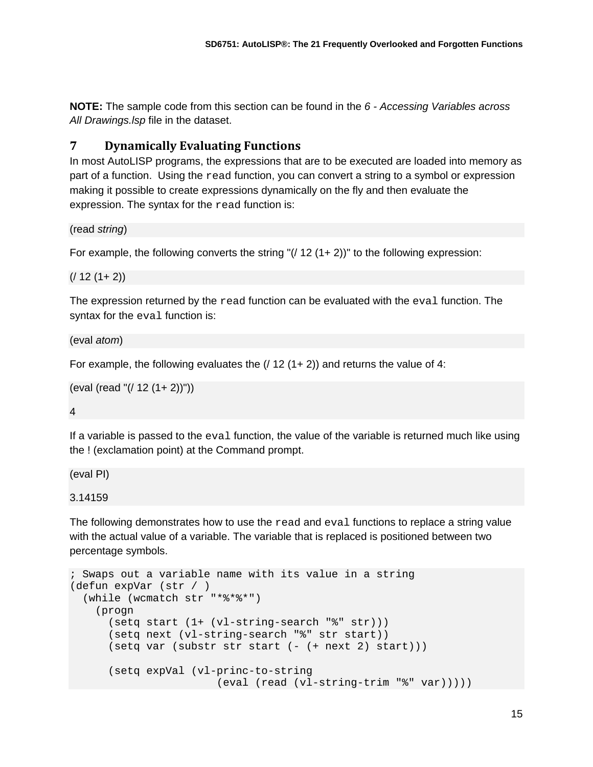**NOTE:** The sample code from this section can be found in the *6 - Accessing Variables across All Drawings.lsp* file in the dataset.

## **7 Dynamically Evaluating Functions**

In most AutoLISP programs, the expressions that are to be executed are loaded into memory as part of a function. Using the read function, you can convert a string to a symbol or expression making it possible to create expressions dynamically on the fly and then evaluate the expression. The syntax for the read function is:

(read *string*)

For example, the following converts the string " $($ / 12 (1+2))" to the following expression:

```
(1 12 (1 + 2))
```
The expression returned by the  $\text{read}$  function can be evaluated with the eval function. The syntax for the eval function is:

(eval *atom*)

For example, the following evaluates the  $(1 12 (1 + 2))$  and returns the value of 4:

```
(eval (read "(/ 12 (1+ 2))"))
```
4

If a variable is passed to the eval function, the value of the variable is returned much like using the ! (exclamation point) at the Command prompt.

(eval PI)

3.14159

The following demonstrates how to use the read and eval functions to replace a string value with the actual value of a variable. The variable that is replaced is positioned between two percentage symbols.

```
; Swaps out a variable name with its value in a string
(defun expVar (str / )
   (while (wcmatch str "*%*%*")
     (progn
       (setq start (1+ (vl-string-search "%" str)))
       (setq next (vl-string-search "%" str start))
       (setq var (substr str start (- (+ next 2) start)))
       (setq expVal (vl-princ-to-string
                        (eval (read (vl-string-trim "%" var)))))
```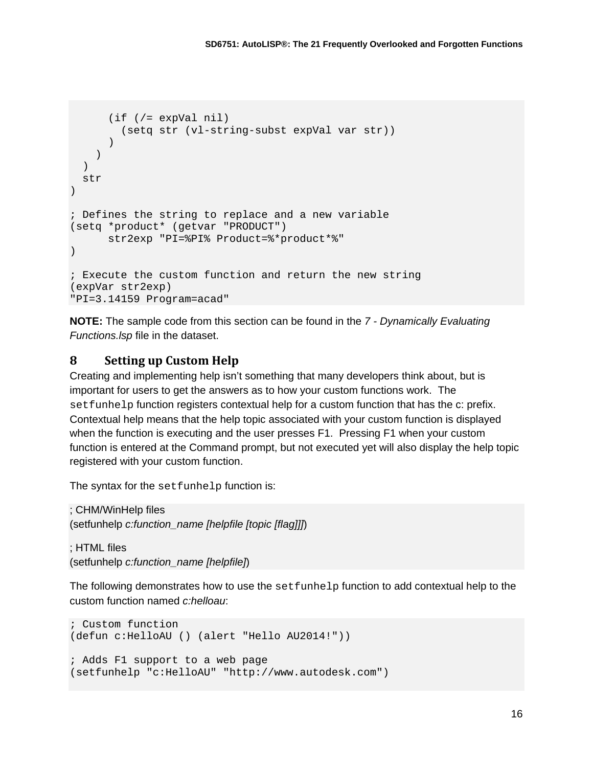```
 (if (/= expVal nil)
         (setq str (vl-string-subst expVal var str))
\overline{\phantom{a}} )
  ) str
\lambda; Defines the string to replace and a new variable
(setq *product* (getvar "PRODUCT")
       str2exp "PI=%PI% Product=%*product*%"
)
; Execute the custom function and return the new string
(expVar str2exp)
"PI=3.14159 Program=acad"
```
**NOTE:** The sample code from this section can be found in the *7 - Dynamically Evaluating Functions.lsp* file in the dataset.

#### **8 Setting up Custom Help**

Creating and implementing help isn't something that many developers think about, but is important for users to get the answers as to how your custom functions work. The setfunhelp function registers contextual help for a custom function that has the c: prefix. Contextual help means that the help topic associated with your custom function is displayed when the function is executing and the user presses F1. Pressing F1 when your custom function is entered at the Command prompt, but not executed yet will also display the help topic registered with your custom function.

The syntax for the setfunhelp function is:

; CHM/WinHelp files (setfunhelp *c:function\_name [helpfile [topic [flag]]]*)

; HTML files (setfunhelp *c:function\_name [helpfile]*)

The following demonstrates how to use the setfunhelp function to add contextual help to the custom function named *c:helloau*:

```
; Custom function
(defun c:HelloAU () (alert "Hello AU2014!"))
; Adds F1 support to a web page
(setfunhelp "c:HelloAU" "http://www.autodesk.com")
```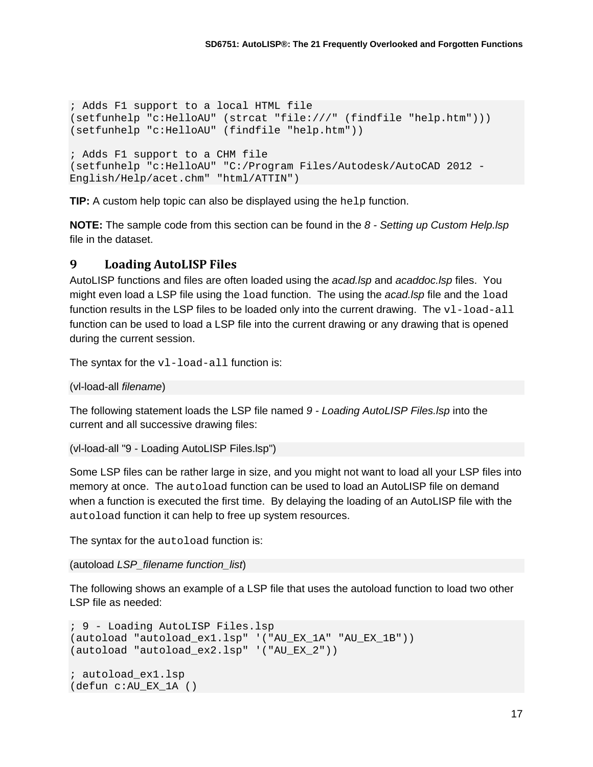```
; Adds F1 support to a local HTML file
(setfunhelp "c:HelloAU" (strcat "file:///" (findfile "help.htm")))
(setfunhelp "c:HelloAU" (findfile "help.htm"))
; Adds F1 support to a CHM file
(setfunhelp "c:HelloAU" "C:/Program Files/Autodesk/AutoCAD 2012 -
English/Help/acet.chm" "html/ATTIN")
```
**TIP:** A custom help topic can also be displayed using the help function.

**NOTE:** The sample code from this section can be found in the *8 - Setting up Custom Help.lsp* file in the dataset.

#### **9 Loading AutoLISP Files**

AutoLISP functions and files are often loaded using the *acad.lsp* and *acaddoc.lsp* files. You might even load a LSP file using the load function. The using the *acad.lsp* file and the load function results in the LSP files to be loaded only into the current drawing. The  $v1$ -load-all function can be used to load a LSP file into the current drawing or any drawing that is opened during the current session.

The syntax for the  $v1$ -load-all function is:

(vl-load-all *filename*)

The following statement loads the LSP file named *9 - Loading AutoLISP Files.lsp* into the current and all successive drawing files:

```
(vl-load-all "9 - Loading AutoLISP Files.lsp")
```
Some LSP files can be rather large in size, and you might not want to load all your LSP files into memory at once. The autoload function can be used to load an AutoLISP file on demand when a function is executed the first time. By delaying the loading of an AutoLISP file with the autoload function it can help to free up system resources.

The syntax for the autoload function is:

(autoload *LSP\_filename function\_list*)

The following shows an example of a LSP file that uses the autoload function to load two other LSP file as needed:

```
; 9 - Loading AutoLISP Files.lsp
(autoload "autoload_ex1.lsp" '("AU_EX_1A" "AU_EX_1B"))
(autoload "autoload_ex2.lsp" '("AU_EX_2"))
; autoload_ex1.lsp
(defun c:AU_EX_1A ()
```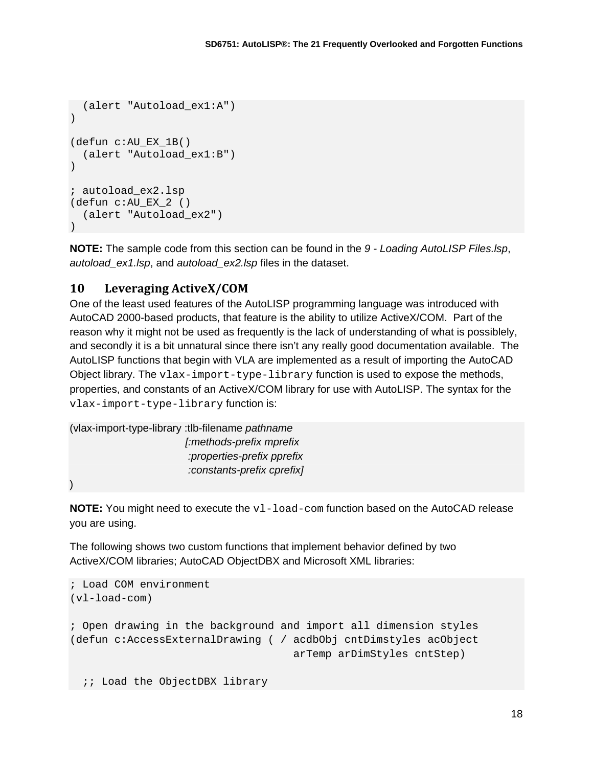```
 (alert "Autoload_ex1:A")
)
(defun c:AU_EX_1B()
   (alert "Autoload_ex1:B")
\lambda; autoload_ex2.lsp
(defun c:AU_EX_2 ()
   (alert "Autoload_ex2")
)
```
**NOTE:** The sample code from this section can be found in the *9 - Loading AutoLISP Files.lsp*, *autoload\_ex1.lsp*, and *autoload\_ex2.lsp* files in the dataset.

#### **10 Leveraging ActiveX/COM**

One of the least used features of the AutoLISP programming language was introduced with AutoCAD 2000-based products, that feature is the ability to utilize ActiveX/COM. Part of the reason why it might not be used as frequently is the lack of understanding of what is possiblely, and secondly it is a bit unnatural since there isn't any really good documentation available. The AutoLISP functions that begin with VLA are implemented as a result of importing the AutoCAD Object library. The vlax-import-type-library function is used to expose the methods, properties, and constants of an ActiveX/COM library for use with AutoLISP. The syntax for the vlax-import-type-library function is:

```
(vlax-import-type-library :tlb-filename pathname
                          [:methods-prefix mprefix
                           :properties-prefix pprefix
                           :constants-prefix cprefix]
```
)

**NOTE:** You might need to execute the  $v1$ -load-com function based on the AutoCAD release you are using.

The following shows two custom functions that implement behavior defined by two ActiveX/COM libraries; AutoCAD ObjectDBX and Microsoft XML libraries:

```
; Load COM environment
(vl-load-com)
; Open drawing in the background and import all dimension styles
(defun c:AccessExternalDrawing ( / acdbObj cntDimstyles acObject
                                    arTemp arDimStyles cntStep)
  ;; Load the ObjectDBX library
```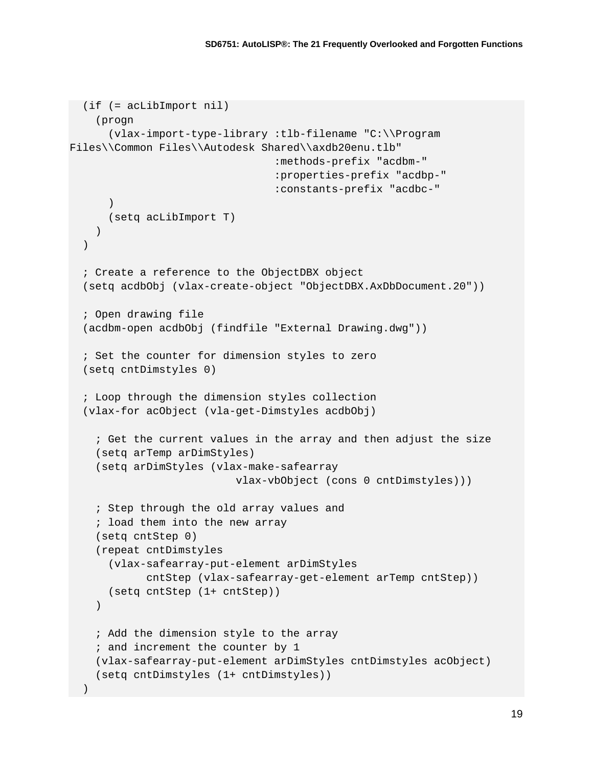```
 (if (= acLibImport nil)
     (progn
       (vlax-import-type-library :tlb-filename "C:\\Program 
Files\\Common Files\\Autodesk Shared\\axdb20enu.tlb"
                                   :methods-prefix "acdbm-"
                                   :properties-prefix "acdbp-"
                                   :constants-prefix "acdbc-"
       )
       (setq acLibImport T)
     )
   )
   ; Create a reference to the ObjectDBX object
   (setq acdbObj (vlax-create-object "ObjectDBX.AxDbDocument.20"))
   ; Open drawing file
   (acdbm-open acdbObj (findfile "External Drawing.dwg"))
   ; Set the counter for dimension styles to zero
   (setq cntDimstyles 0)
   ; Loop through the dimension styles collection
   (vlax-for acObject (vla-get-Dimstyles acdbObj)
     ; Get the current values in the array and then adjust the size
     (setq arTemp arDimStyles)
     (setq arDimStyles (vlax-make-safearray
                            vlax-vbObject (cons 0 cntDimstyles)))
     ; Step through the old array values and
     ; load them into the new array
     (setq cntStep 0)
     (repeat cntDimstyles 
       (vlax-safearray-put-element arDimStyles
             cntStep (vlax-safearray-get-element arTemp cntStep))
       (setq cntStep (1+ cntStep))
    \lambda ; Add the dimension style to the array
     ; and increment the counter by 1
     (vlax-safearray-put-element arDimStyles cntDimstyles acObject)
     (setq cntDimstyles (1+ cntDimstyles))
\rightarrow
```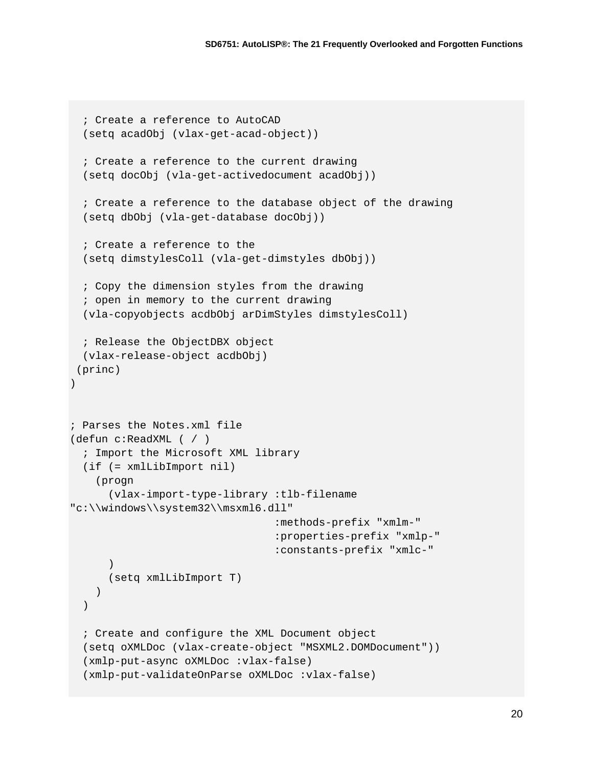```
 ; Create a reference to AutoCAD
   (setq acadObj (vlax-get-acad-object))
   ; Create a reference to the current drawing
  (setq docObj (vla-get-activedocument acadObj))
   ; Create a reference to the database object of the drawing
  (setq dbObj (vla-get-database docObj))
   ; Create a reference to the 
  (setq dimstylesColl (vla-get-dimstyles dbObj))
  ; Copy the dimension styles from the drawing
   ; open in memory to the current drawing
  (vla-copyobjects acdbObj arDimStyles dimstylesColl)
  ; Release the ObjectDBX object
  (vlax-release-object acdbObj)
(princ) 
)
; Parses the Notes.xml file
(defun c:ReadXML ( / )
   ; Import the Microsoft XML library
  (if (= xmlLibImport nil)
     (progn
       (vlax-import-type-library :tlb-filename 
"c:\\windows\\system32\\msxml6.dll"
                                   :methods-prefix "xmlm-"
                                   :properties-prefix "xmlp-"
                                  :constants-prefix "xmlc-"
       )
       (setq xmlLibImport T)
    )
 \left( \right) ; Create and configure the XML Document object
  (setq oXMLDoc (vlax-create-object "MSXML2.DOMDocument"))
  (xmlp-put-async oXMLDoc :vlax-false)
   (xmlp-put-validateOnParse oXMLDoc :vlax-false)
```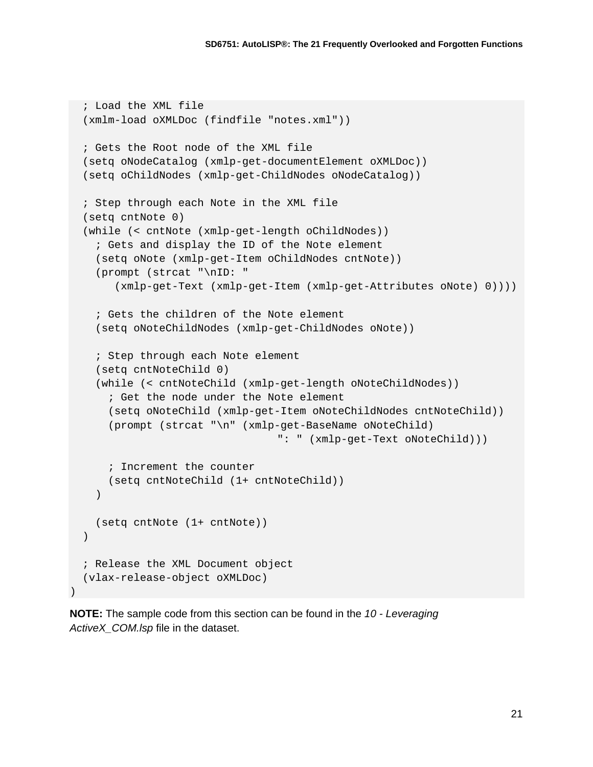```
 ; Load the XML file
   (xmlm-load oXMLDoc (findfile "notes.xml"))
   ; Gets the Root node of the XML file
   (setq oNodeCatalog (xmlp-get-documentElement oXMLDoc))
   (setq oChildNodes (xmlp-get-ChildNodes oNodeCatalog))
   ; Step through each Note in the XML file
   (setq cntNote 0)
   (while (< cntNote (xmlp-get-length oChildNodes))
     ; Gets and display the ID of the Note element
     (setq oNote (xmlp-get-Item oChildNodes cntNote))
     (prompt (strcat "\nID: " 
        (xmlp-get-Text (xmlp-get-Item (xmlp-get-Attributes oNote) 0))))
     ; Gets the children of the Note element
     (setq oNoteChildNodes (xmlp-get-ChildNodes oNote))
     ; Step through each Note element
     (setq cntNoteChild 0)
     (while (< cntNoteChild (xmlp-get-length oNoteChildNodes))
       ; Get the node under the Note element
       (setq oNoteChild (xmlp-get-Item oNoteChildNodes cntNoteChild))
       (prompt (strcat "\n" (xmlp-get-BaseName oNoteChild)
                                   ": " (xmlp-get-Text oNoteChild)))
       ; Increment the counter
       (setq cntNoteChild (1+ cntNoteChild))
     )
     (setq cntNote (1+ cntNote))
  \left( \right) ; Release the XML Document object
   (vlax-release-object oXMLDoc)
)
```
**NOTE:** The sample code from this section can be found in the *10 - Leveraging ActiveX\_COM.lsp* file in the dataset.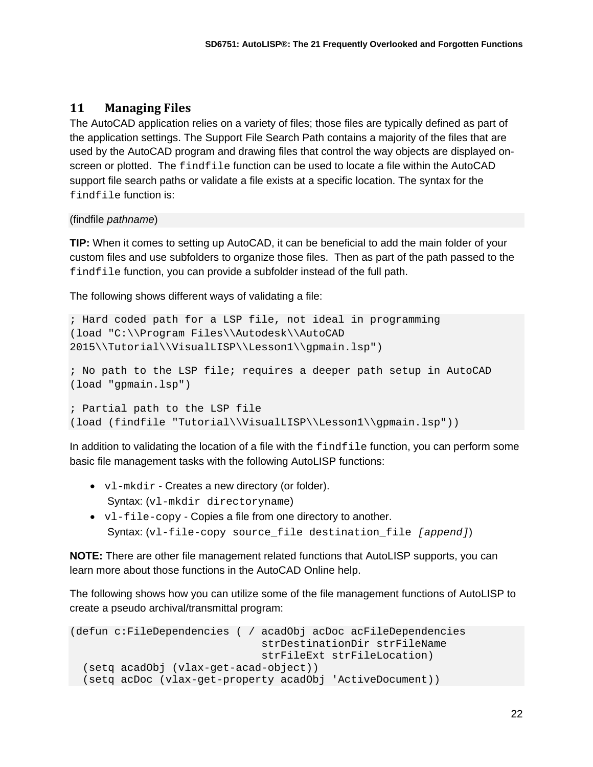#### **11 Managing Files**

The AutoCAD application relies on a variety of files; those files are typically defined as part of the application settings. The Support File Search Path contains a majority of the files that are used by the AutoCAD program and drawing files that control the way objects are displayed onscreen or plotted. The findfile function can be used to locate a file within the AutoCAD support file search paths or validate a file exists at a specific location. The syntax for the findfile function is:

#### (findfile *pathname*)

**TIP:** When it comes to setting up AutoCAD, it can be beneficial to add the main folder of your custom files and use subfolders to organize those files. Then as part of the path passed to the findfile function, you can provide a subfolder instead of the full path.

The following shows different ways of validating a file:

```
; Hard coded path for a LSP file, not ideal in programming
(load "C:\\Program Files\\Autodesk\\AutoCAD 
2015\\Tutorial\\VisualLISP\\Lesson1\\gpmain.lsp")
; No path to the LSP file; requires a deeper path setup in AutoCAD
(load "gpmain.lsp")
; Partial path to the LSP file 
(load (findfile "Tutorial\\VisualLISP\\Lesson1\\gpmain.lsp"))
```
In addition to validating the location of a file with the findfile function, you can perform some basic file management tasks with the following AutoLISP functions:

- $v1$ -mkdir Creates a new directory (or folder). Syntax: (vl-mkdir directoryname)
- vl-file-copy Copies a file from one directory to another. Syntax: (vl-file-copy source\_file destination\_file *[append]*)

**NOTE:** There are other file management related functions that AutoLISP supports, you can learn more about those functions in the AutoCAD Online help.

The following shows how you can utilize some of the file management functions of AutoLISP to create a pseudo archival/transmittal program:

```
(defun c:FileDependencies ( / acadObj acDoc acFileDependencies 
                               strDestinationDir strFileName
                              strFileExt strFileLocation)
  (setq acadObj (vlax-get-acad-object))
  (setq acDoc (vlax-get-property acadObj 'ActiveDocument))
```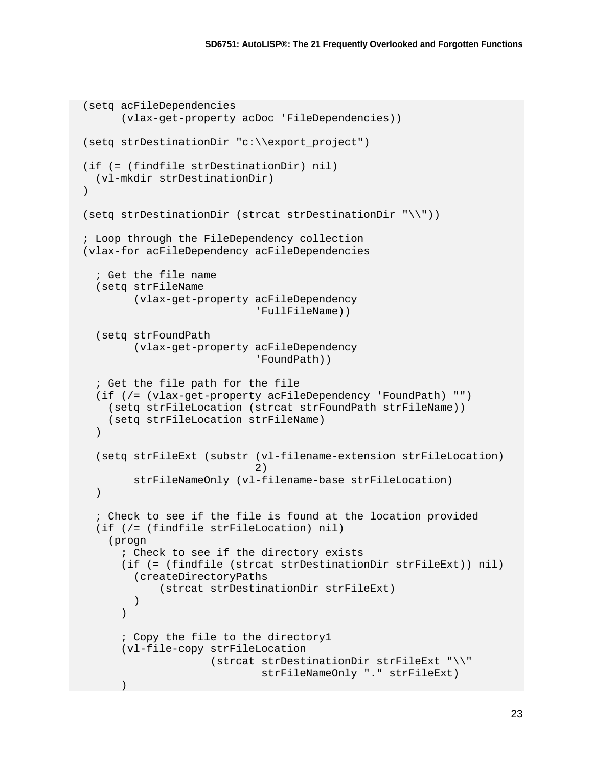```
 (setq acFileDependencies 
         (vlax-get-property acDoc 'FileDependencies))
   (setq strDestinationDir "c:\\export_project")
   (if (= (findfile strDestinationDir) nil)
     (vl-mkdir strDestinationDir)
  \lambda (setq strDestinationDir (strcat strDestinationDir "\\"))
   ; Loop through the FileDependency collection
   (vlax-for acFileDependency acFileDependencies
     ; Get the file name
     (setq strFileName 
           (vlax-get-property acFileDependency
                                'FullFileName))
     (setq strFoundPath 
           (vlax-get-property acFileDependency
                                'FoundPath))
     ; Get the file path for the file
     (if (/= (vlax-get-property acFileDependency 'FoundPath) "")
       (setq strFileLocation (strcat strFoundPath strFileName))
       (setq strFileLocation strFileName)
     )
     (setq strFileExt (substr (vl-filename-extension strFileLocation)
 2)
           strFileNameOnly (vl-filename-base strFileLocation)
    \left( \right) ; Check to see if the file is found at the location provided
     (if (/= (findfile strFileLocation) nil)
       (progn
         ; Check to see if the directory exists
         (if (= (findfile (strcat strDestinationDir strFileExt)) nil)
           (createDirectoryPaths
                (strcat strDestinationDir strFileExt)
\overline{\phantom{a}}\overline{\phantom{a}} ; Copy the file to the directory1
         (vl-file-copy strFileLocation
                       (strcat strDestinationDir strFileExt "\backslash\backslash"
                                 strFileNameOnly "." strFileExt)
\overline{\phantom{a}}
```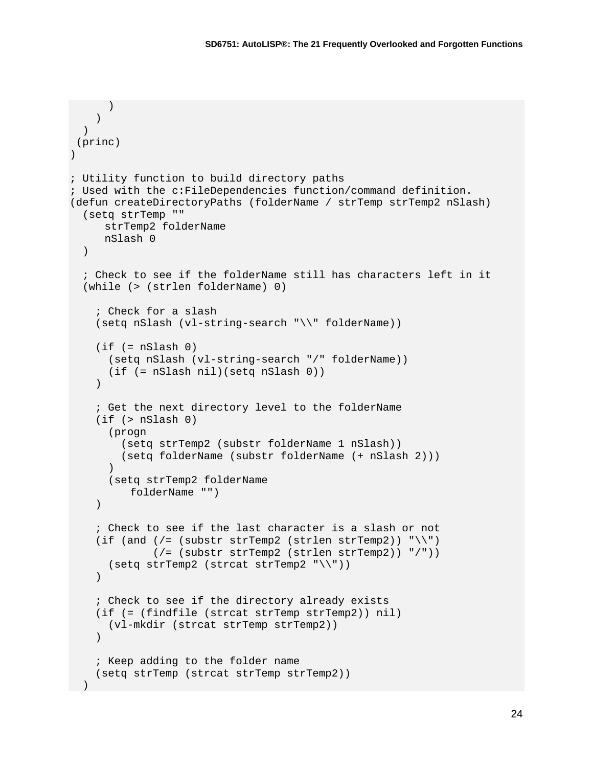```
\overline{\phantom{a}} )
  )
(princ)
\lambda; Utility function to build directory paths
; Used with the c:FileDependencies function/command definition.
(defun createDirectoryPaths (folderName / strTemp strTemp2 nSlash)
   (setq strTemp ""
     strTemp2 folderName
     nSlash 0
  )
   ; Check to see if the folderName still has characters left in it
   (while (> (strlen folderName) 0)
     ; Check for a slash
     (setq nSlash (vl-string-search "\\" folderName))
    (if = nSlash 0) (setq nSlash (vl-string-search "/" folderName))
       (if (= nSlash nil)(setq nSlash 0))
     )
     ; Get the next directory level to the folderName
     (if (> nSlash 0)
       (progn
         (setq strTemp2 (substr folderName 1 nSlash))
       (setq folderName (substr folderName (+ nSlash 2)))
\overline{\phantom{a}} (setq strTemp2 folderName
          folderName "")
     )
     ; Check to see if the last character is a slash or not
    (if (and \left( /= (substr strTemp2 (strlen strTemp2)) "\setminus")
               (/= (substr strTemp2 (strlen strTemp2)) "/"))
       (setq strTemp2 (strcat strTemp2 "\\"))
    ) ; Check to see if the directory already exists
     (if (= (findfile (strcat strTemp strTemp2)) nil)
       (vl-mkdir (strcat strTemp strTemp2))
    ) ; Keep adding to the folder name
     (setq strTemp (strcat strTemp strTemp2))
\rightarrow
```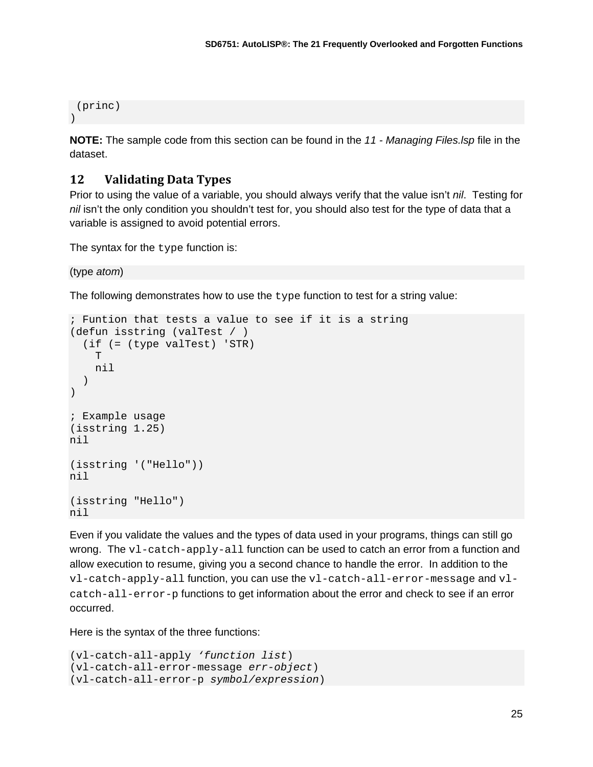```
(princ)
)
```
**NOTE:** The sample code from this section can be found in the *11 - Managing Files.lsp* file in the dataset.

## **12 Validating Data Types**

Prior to using the value of a variable, you should always verify that the value isn't *nil*. Testing for *nil* isn't the only condition you shouldn't test for, you should also test for the type of data that a variable is assigned to avoid potential errors.

The syntax for the type function is:

(type *atom*)

The following demonstrates how to use the type function to test for a string value:

```
; Funtion that tests a value to see if it is a string
(defun isstring (valTest / )
   (if (= (type valTest) 'STR)
     T
     nil
   )
)
; Example usage
(isstring 1.25)
nil
(isstring '("Hello"))
nil
(isstring "Hello")
nil
```
Even if you validate the values and the types of data used in your programs, things can still go wrong. The  $v1$ -catch-apply-all function can be used to catch an error from a function and allow execution to resume, giving you a second chance to handle the error. In addition to the vl-catch-apply-all function, you can use the vl-catch-all-error-message and vlcatch-all-error-p functions to get information about the error and check to see if an error occurred.

Here is the syntax of the three functions:

```
(vl-catch-all-apply 'function list)
(vl-catch-all-error-message err-object)
(vl-catch-all-error-p symbol/expression)
```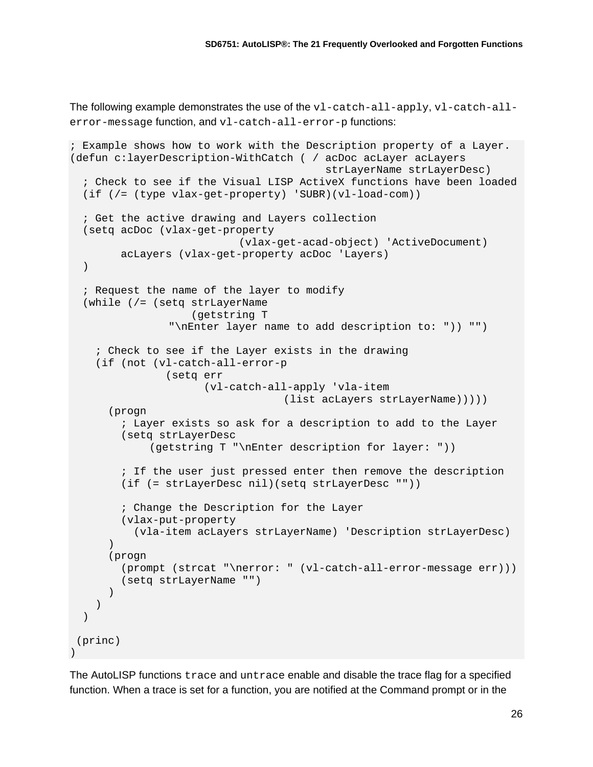The following example demonstrates the use of the vl-catch-all-apply, vl-catch-allerror-message function, and vl-catch-all-error-p functions:

```
; Example shows how to work with the Description property of a Layer.
(defun c:layerDescription-WithCatch ( / acDoc acLayer acLayers
                                           strLayerName strLayerDesc)
   ; Check to see if the Visual LISP ActiveX functions have been loaded
   (if (/= (type vlax-get-property) 'SUBR)(vl-load-com))
   ; Get the active drawing and Layers collection
   (setq acDoc (vlax-get-property
                            (vlax-get-acad-object) 'ActiveDocument)
         acLayers (vlax-get-property acDoc 'Layers)
   )
   ; Request the name of the layer to modify
   (while (/= (setq strLayerName
                     (getstring T
                 "\nEnter layer name to add description to: ")) "")
     ; Check to see if the Layer exists in the drawing
     (if (not (vl-catch-all-error-p
                (setq err
                       (vl-catch-all-apply 'vla-item
                                    (list acLayers strLayerName)))))
       (progn
         ; Layer exists so ask for a description to add to the Layer
         (setq strLayerDesc
              (getstring T "\nEnter description for layer: "))
         ; If the user just pressed enter then remove the description
         (if (= strLayerDesc nil)(setq strLayerDesc ""))
         ; Change the Description for the Layer
         (vlax-put-property
           (vla-item acLayers strLayerName) 'Description strLayerDesc)
\overline{\phantom{a}} (progn
         (prompt (strcat "\nerror: " (vl-catch-all-error-message err)))
         (setq strLayerName "")
       )
     )
  \lambda(princ)
)
```
The AutoLISP functions trace and untrace enable and disable the trace flag for a specified function. When a trace is set for a function, you are notified at the Command prompt or in the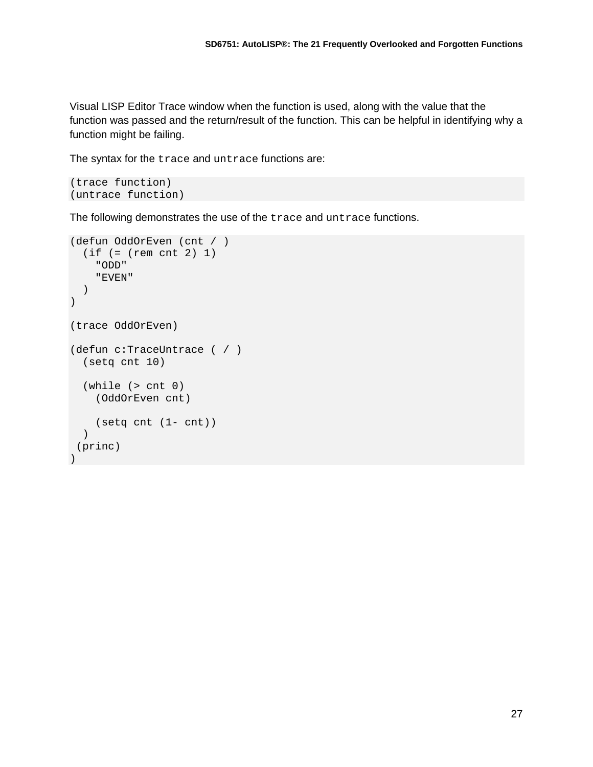Visual LISP Editor Trace window when the function is used, along with the value that the function was passed and the return/result of the function. This can be helpful in identifying why a function might be failing.

The syntax for the trace and untrace functions are:

```
(trace function)
(untrace function)
```
The following demonstrates the use of the trace and untrace functions.

```
(defun OddOrEven (cnt / )
   (if (= (rem cnt 2) 1)
     "ODD"
     "EVEN"
  ))
(trace OddOrEven)
(defun c:TraceUntrace ( / )
   (setq cnt 10)
   (while (> cnt 0)
     (OddOrEven cnt)
     (setq cnt (1- cnt))
   )
 (princ)
)
```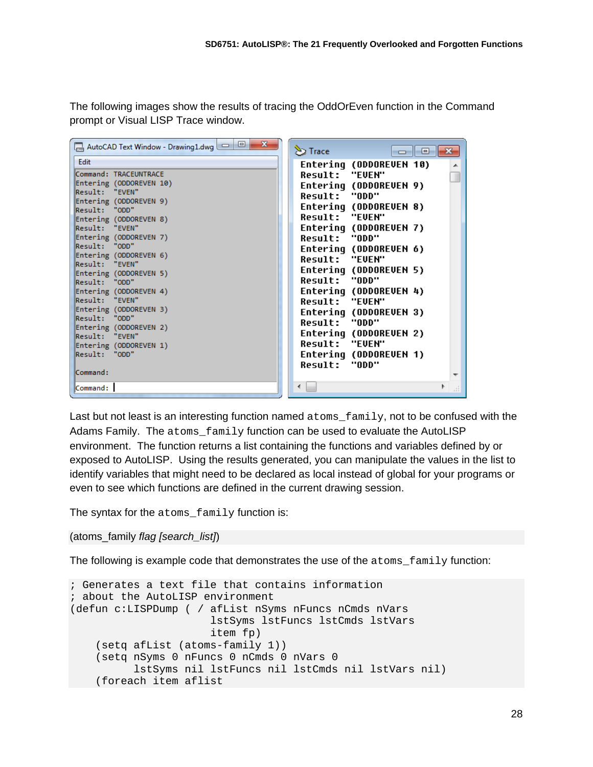The following images show the results of tracing the OddOrEven function in the Command prompt or Visual LISP Trace window.

| $\mathbf{x}$<br>AutoCAD Text Window - Drawing1.dwg $\boxed{\square}$ | $\sum$ Trace<br>$\begin{array}{c c c c c c} \hline \multicolumn{3}{c }{\mathbf{C}} & \multicolumn{3}{c }{\mathbf{C}} & \multicolumn{3}{c }{\mathbf{X}} \end{array}$ |
|----------------------------------------------------------------------|---------------------------------------------------------------------------------------------------------------------------------------------------------------------|
| Edit                                                                 | Entering (ODDOREVEN 10)                                                                                                                                             |
| Command: TRACEUNTRACE                                                | <b>Result: "EUEN"</b>                                                                                                                                               |
| Entering (ODDOREVEN 10)                                              | Entering (ODDOREVEN 9)                                                                                                                                              |
| Result: "EVEN"                                                       | Result: "ODD"                                                                                                                                                       |
| Entering (ODDOREVEN 9)<br>Result: "ODD"                              | Entering (ODDOREVEN 8)                                                                                                                                              |
| Entering (ODDOREVEN 8)                                               | <b>Result: "EVEN"</b>                                                                                                                                               |
| Result: "EVEN"                                                       | Entering (ODDOREVEN 7)                                                                                                                                              |
| Entering (ODDOREVEN 7)                                               | Result: "ODD"                                                                                                                                                       |
| Result: "ODD"                                                        | Entering (ODDOREVEN 6)                                                                                                                                              |
| Entering (ODDOREVEN 6)                                               | <b>Result: "EVEN"</b>                                                                                                                                               |
| Result: "EVEN"                                                       | Entering (ODDOREVEN 5)                                                                                                                                              |
| Entering (ODDOREVEN 5)<br>Result: "ODD"                              | Result: "ODD"                                                                                                                                                       |
| Entering (ODDOREVEN 4)                                               | Entering (ODDOREVEN 4)                                                                                                                                              |
| Result: "EVEN"                                                       | Result: "EVEN"                                                                                                                                                      |
| Entering (ODDOREVEN 3)                                               | Entering (ODDOREVEN 3)                                                                                                                                              |
| "Result: "ODD                                                        | Result: "ODD"                                                                                                                                                       |
| Entering (ODDOREVEN 2)                                               | Entering (ODDOREVEN 2)                                                                                                                                              |
| Result: "EVEN"                                                       | Result: "EVEN"                                                                                                                                                      |
| Entering (ODDOREVEN 1)<br>Result: "ODD"                              | Entering (ODDOREVEN 1)                                                                                                                                              |
|                                                                      | Result: "ODD"                                                                                                                                                       |
| Command:                                                             |                                                                                                                                                                     |
|                                                                      |                                                                                                                                                                     |
| Command:                                                             | лÍ                                                                                                                                                                  |

Last but not least is an interesting function named atoms\_family, not to be confused with the Adams Family. The atoms\_family function can be used to evaluate the AutoLISP environment. The function returns a list containing the functions and variables defined by or exposed to AutoLISP. Using the results generated, you can manipulate the values in the list to identify variables that might need to be declared as local instead of global for your programs or even to see which functions are defined in the current drawing session.

The syntax for the atoms family function is:

#### (atoms\_family *flag [search\_list]*)

The following is example code that demonstrates the use of the  $\alpha$  toms  $f$  function:

```
; Generates a text file that contains information
; about the AutoLISP environment
(defun c:LISPDump ( / afList nSyms nFuncs nCmds nVars
                       lstSyms lstFuncs lstCmds lstVars
                      item fp)
    (setq afList (atoms-family 1))
    (setq nSyms 0 nFuncs 0 nCmds 0 nVars 0
          lstSyms nil lstFuncs nil lstCmds nil lstVars nil)
    (foreach item aflist
```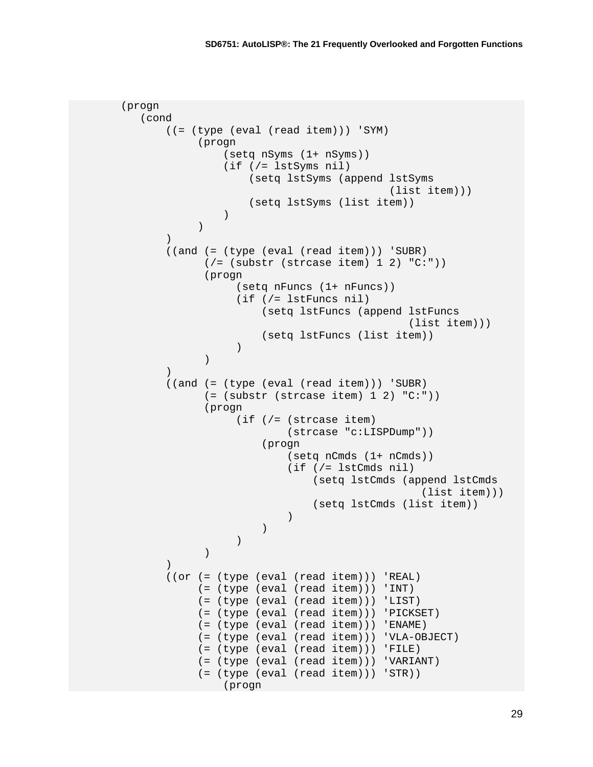```
 (progn
                    (cond
                            ((= (type (eval (read item))) 'SYM)
                                     (progn
                                            (setq nSyms (1+ nSyms))
                                           (if (/= lstSyms nil)
                                                    (setq lstSyms (append lstSyms
                                                                                            (list item)))
                                            (setq lstSyms (list item))
) and the contract of \mathcal{L} ( \mathcal{L} ) and \mathcal{L}) and the contract of \mathcal{L} ( \mathcal{L} ) and \mathcal{L}\sim (b) and (b) and (b) and (b) and (b) and (b) and (b) and (b) and (b) and (b) and (b) and (b) and (b) and (b) and (b) and (b) and (b) and (b) and (b) and (b) and (b) and (b) and (b) and (b) and (b) and (b) and (b) and 
                            ((and (= (type (eval (read item))) 'SUBR)
                                      ( /= (substr (strcase item) 1 2) "C:"))
                                       (progn
                                                (setq nFuncs (1+ nFuncs))
                                               (if (/= lstFuncs nil)
                                                       (setq lstFuncs (append lstFuncs
                                                                                                 (list item)))
                                               (setq lstFuncs (list item))<br>)
 ) 
) and the contract of \mathcal{L} ( \mathcal{L} ) and \mathcal{L}\sim (b) and (b) and (b) and (b) and (b) and (b) and (b) and (b) and (b) and (b) and (b) and (b) and (b) and (b) and (b) and (b) and (b) and (b) and (b) and (b) and (b) and (b) and (b) and (b) and (b) and (b) and (b) and 
                            ((and (= (type (eval (read item))) 'SUBR)
                                      ( = (subset (strcase item) 1 2) "C:") (progn
                                                (if (/= (strcase item)
                                                              (strcase "c:LISPDump"))
                                                       (progn
                                                              (setq nCmds (1+ nCmds))
                                                              (if (/= lstCmds nil)
                                                                      (setq lstCmds (append lstCmds
                                                                                                     (list item)))
                                                             (setq lstCmds (list item))<br>)
) and the contract of \mathcal{L}е производство в село в село в село в село в село в село в село в село в село в село в село в село в село в се<br>В село в село в село в село в село в село в село в село в село в село в село в село в село в село в село в сел
\overline{\phantom{a}}) and the contract of \mathcal{L} ( \mathcal{L} ) and \mathcal{L}\sim (b) and (b) and (b) and (b) and (b) and (b) and (b) and (b) and (b) and (b) and (b) and (b) and (b) and (b) and (b) and (b) and (b) and (b) and (b) and (b) and (b) and (b) and (b) and (b) and (b) and (b) and (b) and 
                            ((or (= (type (eval (read item))) 'REAL)
                                     (= (type (eval (read item))) 'INT)
                                     (= (type (eval (read item))) 'LIST)
                                     (= (type (eval (read item))) 'PICKSET)
                                    (= (type (eval (read item))) 'ENAME)
                                    (= (type (eval (read item))) 'VLA-OBJECT)
                                    (= (type (eval (read item))) 'FILE)
                                    (= (type (eval (read item))) 'VARIANT)
                                    (= (type (eval (read item))) 'STR))
                                            (progn
```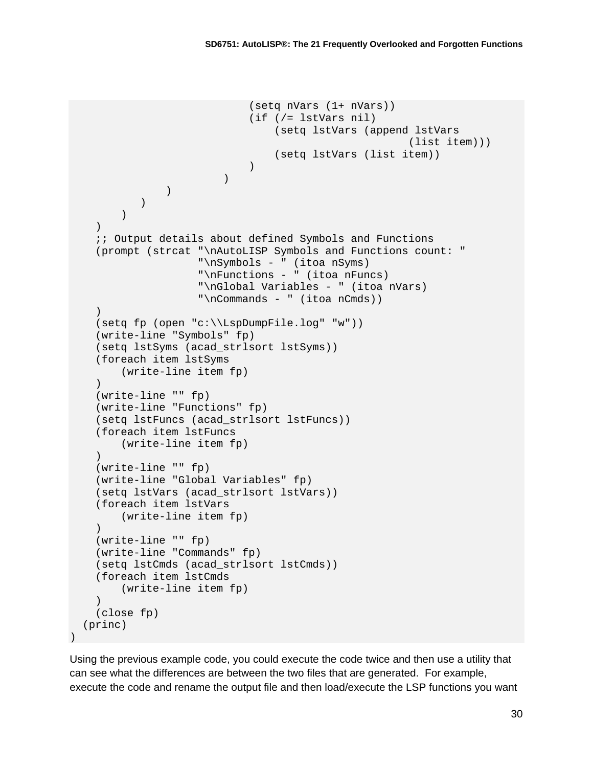```
 (setq nVars (1+ nVars))
                                            (if (/= lstVars nil)
                                                    (setq lstVars (append lstVars
                                                                                     (list item)))
                                                   (setq lstVars (list item))
е производство в селото на селото на селото на селото на селото на селото на селото на селото на селото на сел<br>Селото на селото на селото на селото на селото на селото на селото на селото на селото на селото на селото на
) and the contract of \mathcal{L} ( \mathcal{L} ) and \mathcal{L}\sim (b) and (b) and (b) and (b) and (b) and (b) and (b) and (b) and (b) and (b) and (b) and (b) and (b) and (b) and (b) and (b) and (b) and (b) and (b) and (b) and (b) and (b) and (b) and (b) and (b) and (b) and (b) and 
\overline{\phantom{a}}\overline{\phantom{a}}) ;; Output details about defined Symbols and Functions
       (prompt (strcat "\nAutoLISP Symbols and Functions count: "
                                "\nSymbols - " (itoa nSyms)
                                "\nFunctions - " (itoa nFuncs)
                                "\nGlobal Variables - " (itoa nVars)
                                "\nCommands - " (itoa nCmds))
      \left( \right) (setq fp (open "c:\\LspDumpFile.log" "w"))
       (write-line "Symbols" fp)
       (setq lstSyms (acad_strlsort lstSyms))
       (foreach item lstSyms
             (write-line item fp)
\overline{\phantom{a}} (write-line "" fp)
       (write-line "Functions" fp)
       (setq lstFuncs (acad_strlsort lstFuncs))
       (foreach item lstFuncs
             (write-line item fp)
      \lambda (write-line "" fp)
       (write-line "Global Variables" fp)
       (setq lstVars (acad_strlsort lstVars))
       (foreach item lstVars
             (write-line item fp)
\overline{\phantom{a}} (write-line "" fp)
       (write-line "Commands" fp)
       (setq lstCmds (acad_strlsort lstCmds))
       (foreach item lstCmds
             (write-line item fp)
\overline{\phantom{a}} (close fp)
    (princ)
```
Using the previous example code, you could execute the code twice and then use a utility that can see what the differences are between the two files that are generated. For example, execute the code and rename the output file and then load/execute the LSP functions you want

 $\left( \right)$